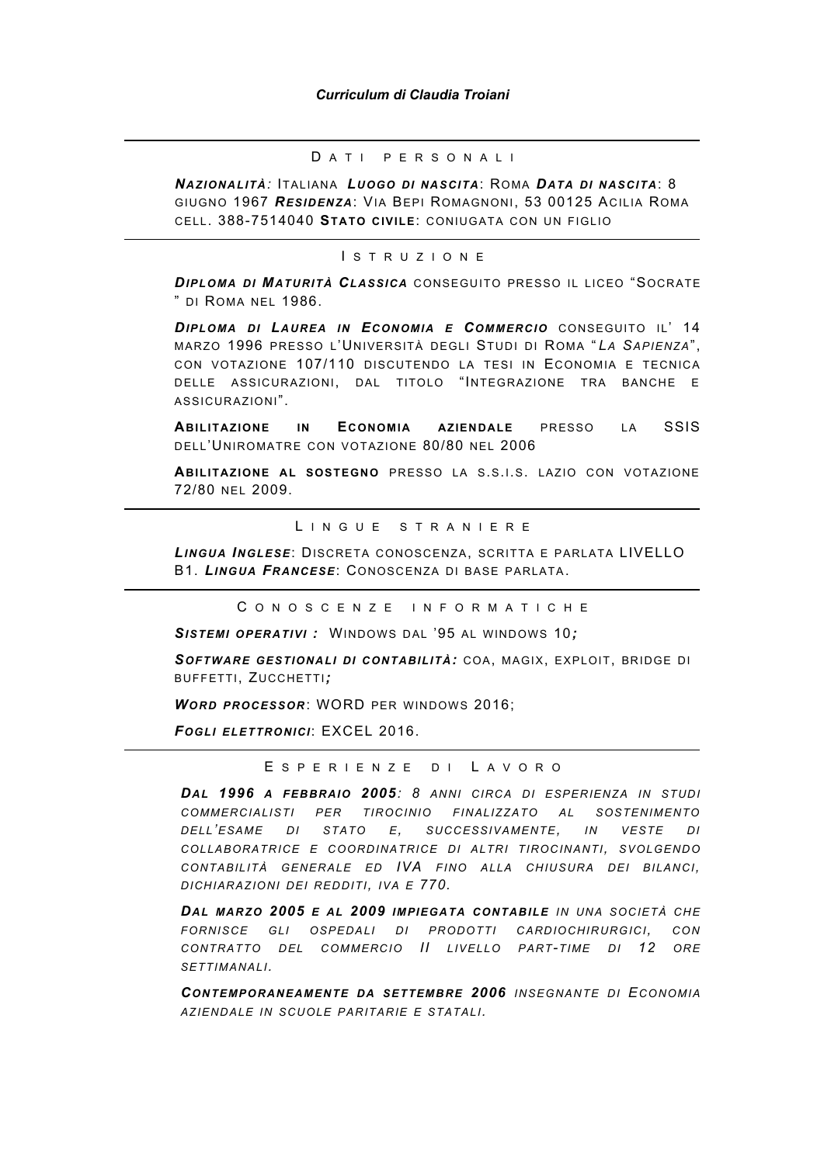## D A T I P E R S O N A L I

*NAZIONALITÀ :* ITALIANA *LUOGO DI NASCITA*: ROMA *DATA DI NASCITA*: 8 GIUGNO 1967 *RESIDENZA* : VIA BEPI ROMAGNONI, 53 00125 ACILIA ROMA CELL. 388-7514040 **STATO CIVILE**: CONIUGATA CON UN FIGLIO

## I S T R U Z I O N E

*DIPLOMA DI MATURITÀ CLASSICA* CONSEGUITO PRESSO IL LICEO "SOCRATE " DI ROMA NEL 1986.

*DIPLOMA DI LAUREA IN ECONOMIA E COMMERCIO* CONSEGUITO IL' 14 MARZO 1996 PRESSO L'UNIVERSITÀ DEGLI STUDI DI ROMA "*LA SAPIENZA*", CON VOTAZIONE 107/110 DISCUTENDO LA TESI IN ECONOMIA E TECNICA DELLE ASSICURAZIONI, DAL TITOLO "INTEGRAZIONE TRA BANCHE E ASSICURAZIONI".

**ABILITAZIONE IN ECONOMIA AZIENDALE** PRESSO LA SSIS DELL'UNIROMATRE CON VOTAZIONE 80/80 NEL 2006

**ABILITAZIONE AL SOSTEGNO** PRESSO LA S.S.I.S. LAZIO CON VOTAZIONE 72/80 NEL 2009.

L I N G U E S T R A N I E R E

*LINGUA INGLESE*: DISCRETA CONOSCENZA, SCRITTA E PARLATA LIVELLO B1. *LINGUA FRANCESE*: CONOSCENZA DI BASE PARLATA.

C O N O S C E N Z E I N F O R M A T I C H E

*SISTEMI OPERATIVI :* WINDOWS DAL '95 AL WINDOWS 10*;*

*SOFTWARE GESTIONALI DI CONTABILITÀ:* COA, MAGIX, EXPLOIT, BRIDGE DI BUFFETTI, ZUCCHETTI*;* 

*WORD PROCESSOR* : WORD PER WINDOWS 2016;

*FOGLI ELETTRONICI*: EXCEL 2016.

E S P E R I E N Z E D I L A V O R O

*DAL 1996 A FEBBRAIO 2005: 8 ANNI CIRCA DI ESPERIENZA IN STUDI COMMERCIALISTI PER TIROCINIO FINALIZZATO AL SOSTENIMENTO DELL'ESAME DI STATO E, SUCCESSIVAMENTE, IN VESTE DI COLLABORATRICE E COORDINATRICE DI ALTRI TIROCINANTI, SVOLGENDO CONTABILITÀ GENERALE ED IVA FINO ALLA CHIUSURA DEI BILANCI, DICHIARAZIONI DEI REDDITI, IVA E 770.* 

*DAL MARZO 2005 E AL 2009 IMPIEGATA CONTABILE IN UNA SOCIETÀ CHE FORNISCE GLI OSPEDALI DI PRODOTTI CARDIOCHIRURGICI, CON CONTRATTO DEL COMMERCIO II LIVELLO PART-TIME DI 12 ORE SETTIMANALI.*

*CONTEMPORANEAMENTE DA SETTEMBRE 2006 INSEGNANTE DI ECONOMIA AZIENDALE IN SCUOLE PARITARIE E STATALI.*